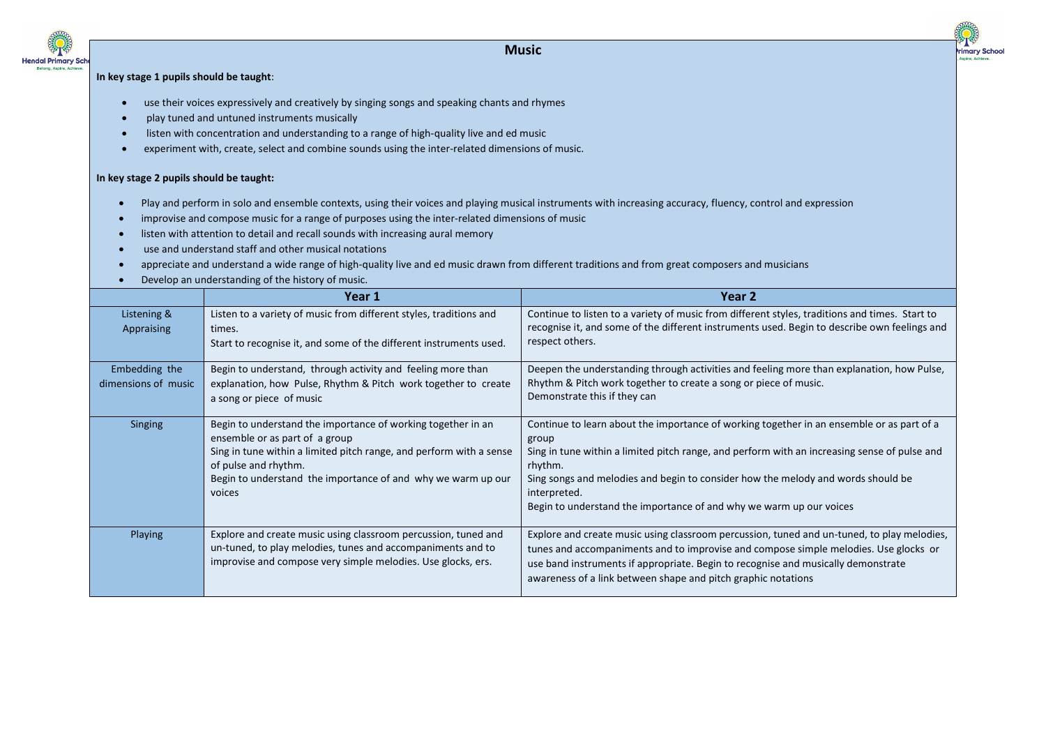

## **Music**



## **In key stage 1 pupils should be taught**:

- use their voices expressively and creatively by singing songs and speaking chants and rhymes
- play tuned and untuned instruments musically
- listen with concentration and understanding to a range of high-quality live and ed music
- experiment with, create, select and combine sounds using the inter-related dimensions of music.

## **In key stage 2 pupils should be taught:**

- Play and perform in solo and ensemble contexts, using their voices and playing musical instruments with increasing accuracy, fluency, control and expression
- improvise and compose music for a range of purposes using the inter-related dimensions of music
- listen with attention to detail and recall sounds with increasing aural memory
- use and understand staff and other musical notations
- appreciate and understand a wide range of high-quality live and ed music drawn from different traditions and from great composers and musicians
- Develop an understanding of the history of music.

|                                      | Year 1                                                                                                                                                                                                                                                                  | Year 2                                                                                                                                                                                                                                                                                                                                                                                   |
|--------------------------------------|-------------------------------------------------------------------------------------------------------------------------------------------------------------------------------------------------------------------------------------------------------------------------|------------------------------------------------------------------------------------------------------------------------------------------------------------------------------------------------------------------------------------------------------------------------------------------------------------------------------------------------------------------------------------------|
| Listening &<br>Appraising            | Listen to a variety of music from different styles, traditions and<br>times.<br>Start to recognise it, and some of the different instruments used.                                                                                                                      | Continue to listen to a variety of music from different styles, traditions and times. Start to<br>recognise it, and some of the different instruments used. Begin to describe own feelings and<br>respect others.                                                                                                                                                                        |
| Embedding the<br>dimensions of music | Begin to understand, through activity and feeling more than<br>explanation, how Pulse, Rhythm & Pitch work together to create<br>a song or piece of music                                                                                                               | Deepen the understanding through activities and feeling more than explanation, how Pulse,<br>Rhythm & Pitch work together to create a song or piece of music.<br>Demonstrate this if they can                                                                                                                                                                                            |
| Singing                              | Begin to understand the importance of working together in an<br>ensemble or as part of a group<br>Sing in tune within a limited pitch range, and perform with a sense<br>of pulse and rhythm.<br>Begin to understand the importance of and why we warm up our<br>voices | Continue to learn about the importance of working together in an ensemble or as part of a<br>group<br>Sing in tune within a limited pitch range, and perform with an increasing sense of pulse and<br>rhythm.<br>Sing songs and melodies and begin to consider how the melody and words should be<br>interpreted.<br>Begin to understand the importance of and why we warm up our voices |
| Playing                              | Explore and create music using classroom percussion, tuned and<br>un-tuned, to play melodies, tunes and accompaniments and to<br>improvise and compose very simple melodies. Use glocks, ers.                                                                           | Explore and create music using classroom percussion, tuned and un-tuned, to play melodies,<br>tunes and accompaniments and to improvise and compose simple melodies. Use glocks or<br>use band instruments if appropriate. Begin to recognise and musically demonstrate<br>awareness of a link between shape and pitch graphic notations                                                 |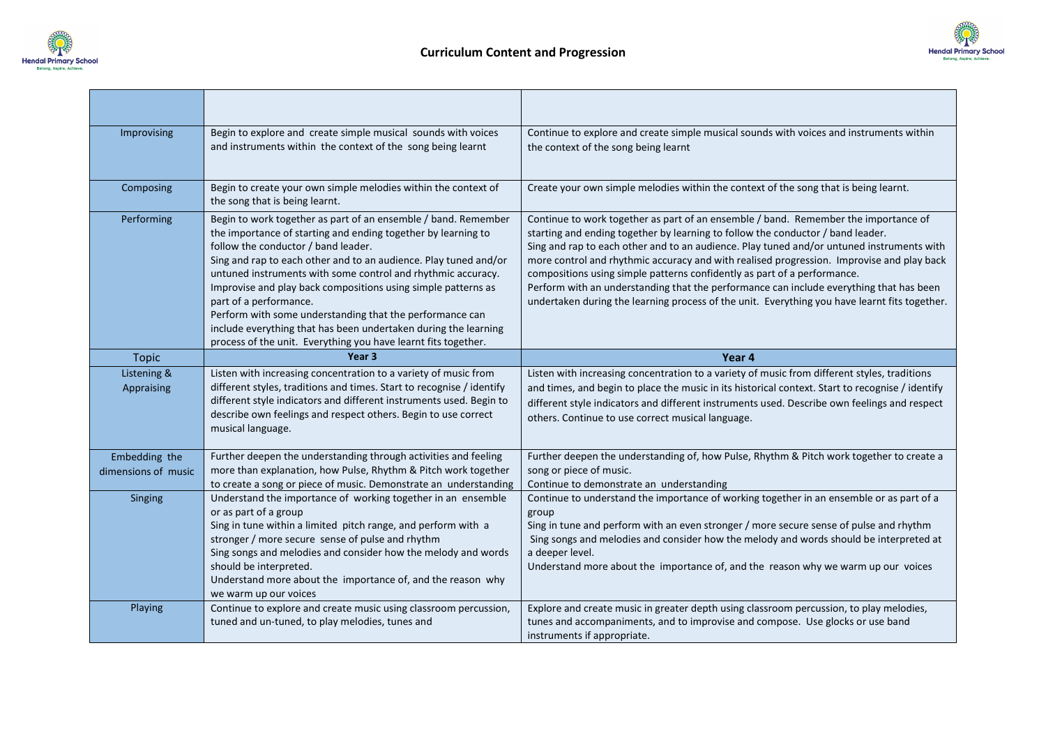



| Improvising               | Begin to explore and create simple musical sounds with voices<br>and instruments within the context of the song being learnt                                                                                                                                                                                                                                                                                                                                                                                                                                                                           | Continue to explore and create simple musical sounds with voices and instruments within<br>the context of the song being learnt                                                                                                                                                                                                                                                                                                                                                                                                                                                                                                          |
|---------------------------|--------------------------------------------------------------------------------------------------------------------------------------------------------------------------------------------------------------------------------------------------------------------------------------------------------------------------------------------------------------------------------------------------------------------------------------------------------------------------------------------------------------------------------------------------------------------------------------------------------|------------------------------------------------------------------------------------------------------------------------------------------------------------------------------------------------------------------------------------------------------------------------------------------------------------------------------------------------------------------------------------------------------------------------------------------------------------------------------------------------------------------------------------------------------------------------------------------------------------------------------------------|
| Composing                 | Begin to create your own simple melodies within the context of<br>the song that is being learnt.                                                                                                                                                                                                                                                                                                                                                                                                                                                                                                       | Create your own simple melodies within the context of the song that is being learnt.                                                                                                                                                                                                                                                                                                                                                                                                                                                                                                                                                     |
| Performing                | Begin to work together as part of an ensemble / band. Remember<br>the importance of starting and ending together by learning to<br>follow the conductor / band leader.<br>Sing and rap to each other and to an audience. Play tuned and/or<br>untuned instruments with some control and rhythmic accuracy.<br>Improvise and play back compositions using simple patterns as<br>part of a performance.<br>Perform with some understanding that the performance can<br>include everything that has been undertaken during the learning<br>process of the unit. Everything you have learnt fits together. | Continue to work together as part of an ensemble / band. Remember the importance of<br>starting and ending together by learning to follow the conductor / band leader.<br>Sing and rap to each other and to an audience. Play tuned and/or untuned instruments with<br>more control and rhythmic accuracy and with realised progression. Improvise and play back<br>compositions using simple patterns confidently as part of a performance.<br>Perform with an understanding that the performance can include everything that has been<br>undertaken during the learning process of the unit. Everything you have learnt fits together. |
| <b>Topic</b>              | Year <sub>3</sub>                                                                                                                                                                                                                                                                                                                                                                                                                                                                                                                                                                                      | Year 4                                                                                                                                                                                                                                                                                                                                                                                                                                                                                                                                                                                                                                   |
|                           |                                                                                                                                                                                                                                                                                                                                                                                                                                                                                                                                                                                                        |                                                                                                                                                                                                                                                                                                                                                                                                                                                                                                                                                                                                                                          |
| Listening &<br>Appraising | Listen with increasing concentration to a variety of music from<br>different styles, traditions and times. Start to recognise / identify<br>different style indicators and different instruments used. Begin to<br>describe own feelings and respect others. Begin to use correct<br>musical language.                                                                                                                                                                                                                                                                                                 | Listen with increasing concentration to a variety of music from different styles, traditions<br>and times, and begin to place the music in its historical context. Start to recognise / identify<br>different style indicators and different instruments used. Describe own feelings and respect<br>others. Continue to use correct musical language.                                                                                                                                                                                                                                                                                    |
| Embedding the             | Further deepen the understanding through activities and feeling                                                                                                                                                                                                                                                                                                                                                                                                                                                                                                                                        | Further deepen the understanding of, how Pulse, Rhythm & Pitch work together to create a                                                                                                                                                                                                                                                                                                                                                                                                                                                                                                                                                 |
| dimensions of music       | more than explanation, how Pulse, Rhythm & Pitch work together                                                                                                                                                                                                                                                                                                                                                                                                                                                                                                                                         | song or piece of music.                                                                                                                                                                                                                                                                                                                                                                                                                                                                                                                                                                                                                  |
| Singing<br>Playing        | to create a song or piece of music. Demonstrate an understanding<br>Understand the importance of working together in an ensemble<br>or as part of a group<br>Sing in tune within a limited pitch range, and perform with a<br>stronger / more secure sense of pulse and rhythm<br>Sing songs and melodies and consider how the melody and words<br>should be interpreted.<br>Understand more about the importance of, and the reason why<br>we warm up our voices<br>Continue to explore and create music using classroom percussion,                                                                  | Continue to demonstrate an understanding<br>Continue to understand the importance of working together in an ensemble or as part of a<br>group<br>Sing in tune and perform with an even stronger / more secure sense of pulse and rhythm<br>Sing songs and melodies and consider how the melody and words should be interpreted at<br>a deeper level.<br>Understand more about the importance of, and the reason why we warm up our voices<br>Explore and create music in greater depth using classroom percussion, to play melodies,                                                                                                     |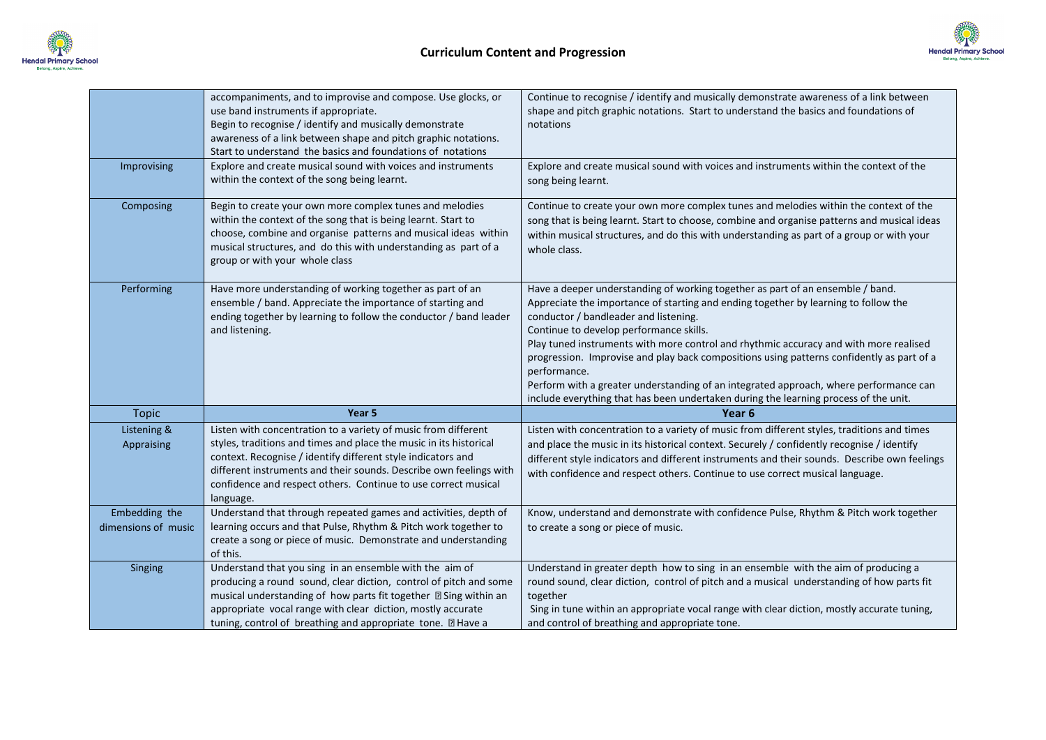



|                     | accompaniments, and to improvise and compose. Use glocks, or<br>use band instruments if appropriate.<br>Begin to recognise / identify and musically demonstrate<br>awareness of a link between shape and pitch graphic notations.<br>Start to understand the basics and foundations of notations | Continue to recognise / identify and musically demonstrate awareness of a link between<br>shape and pitch graphic notations. Start to understand the basics and foundations of<br>notations                                                                                                                                                                                                                                                                                                                                                                                                                                                      |
|---------------------|--------------------------------------------------------------------------------------------------------------------------------------------------------------------------------------------------------------------------------------------------------------------------------------------------|--------------------------------------------------------------------------------------------------------------------------------------------------------------------------------------------------------------------------------------------------------------------------------------------------------------------------------------------------------------------------------------------------------------------------------------------------------------------------------------------------------------------------------------------------------------------------------------------------------------------------------------------------|
| Improvising         | Explore and create musical sound with voices and instruments<br>within the context of the song being learnt.                                                                                                                                                                                     | Explore and create musical sound with voices and instruments within the context of the<br>song being learnt.                                                                                                                                                                                                                                                                                                                                                                                                                                                                                                                                     |
| Composing           | Begin to create your own more complex tunes and melodies<br>within the context of the song that is being learnt. Start to<br>choose, combine and organise patterns and musical ideas within<br>musical structures, and do this with understanding as part of a<br>group or with your whole class | Continue to create your own more complex tunes and melodies within the context of the<br>song that is being learnt. Start to choose, combine and organise patterns and musical ideas<br>within musical structures, and do this with understanding as part of a group or with your<br>whole class.                                                                                                                                                                                                                                                                                                                                                |
| Performing          | Have more understanding of working together as part of an<br>ensemble / band. Appreciate the importance of starting and<br>ending together by learning to follow the conductor / band leader<br>and listening.                                                                                   | Have a deeper understanding of working together as part of an ensemble / band.<br>Appreciate the importance of starting and ending together by learning to follow the<br>conductor / bandleader and listening.<br>Continue to develop performance skills.<br>Play tuned instruments with more control and rhythmic accuracy and with more realised<br>progression. Improvise and play back compositions using patterns confidently as part of a<br>performance.<br>Perform with a greater understanding of an integrated approach, where performance can<br>include everything that has been undertaken during the learning process of the unit. |
|                     |                                                                                                                                                                                                                                                                                                  |                                                                                                                                                                                                                                                                                                                                                                                                                                                                                                                                                                                                                                                  |
| <b>Topic</b>        | Year 5                                                                                                                                                                                                                                                                                           | Year <sub>6</sub>                                                                                                                                                                                                                                                                                                                                                                                                                                                                                                                                                                                                                                |
| Listening &         | Listen with concentration to a variety of music from different                                                                                                                                                                                                                                   | Listen with concentration to a variety of music from different styles, traditions and times                                                                                                                                                                                                                                                                                                                                                                                                                                                                                                                                                      |
| Appraising          | styles, traditions and times and place the music in its historical                                                                                                                                                                                                                               | and place the music in its historical context. Securely / confidently recognise / identify                                                                                                                                                                                                                                                                                                                                                                                                                                                                                                                                                       |
|                     | context. Recognise / identify different style indicators and                                                                                                                                                                                                                                     | different style indicators and different instruments and their sounds. Describe own feelings                                                                                                                                                                                                                                                                                                                                                                                                                                                                                                                                                     |
|                     | different instruments and their sounds. Describe own feelings with<br>confidence and respect others. Continue to use correct musical<br>language.                                                                                                                                                | with confidence and respect others. Continue to use correct musical language.                                                                                                                                                                                                                                                                                                                                                                                                                                                                                                                                                                    |
| Embedding the       | Understand that through repeated games and activities, depth of                                                                                                                                                                                                                                  | Know, understand and demonstrate with confidence Pulse, Rhythm & Pitch work together                                                                                                                                                                                                                                                                                                                                                                                                                                                                                                                                                             |
| dimensions of music | learning occurs and that Pulse, Rhythm & Pitch work together to<br>create a song or piece of music. Demonstrate and understanding<br>of this.                                                                                                                                                    | to create a song or piece of music.                                                                                                                                                                                                                                                                                                                                                                                                                                                                                                                                                                                                              |
| Singing             | Understand that you sing in an ensemble with the aim of                                                                                                                                                                                                                                          | Understand in greater depth how to sing in an ensemble with the aim of producing a                                                                                                                                                                                                                                                                                                                                                                                                                                                                                                                                                               |
|                     | producing a round sound, clear diction, control of pitch and some                                                                                                                                                                                                                                | round sound, clear diction, control of pitch and a musical understanding of how parts fit                                                                                                                                                                                                                                                                                                                                                                                                                                                                                                                                                        |
|                     | musical understanding of how parts fit together 2 Sing within an<br>appropriate vocal range with clear diction, mostly accurate                                                                                                                                                                  | together<br>Sing in tune within an appropriate vocal range with clear diction, mostly accurate tuning,                                                                                                                                                                                                                                                                                                                                                                                                                                                                                                                                           |